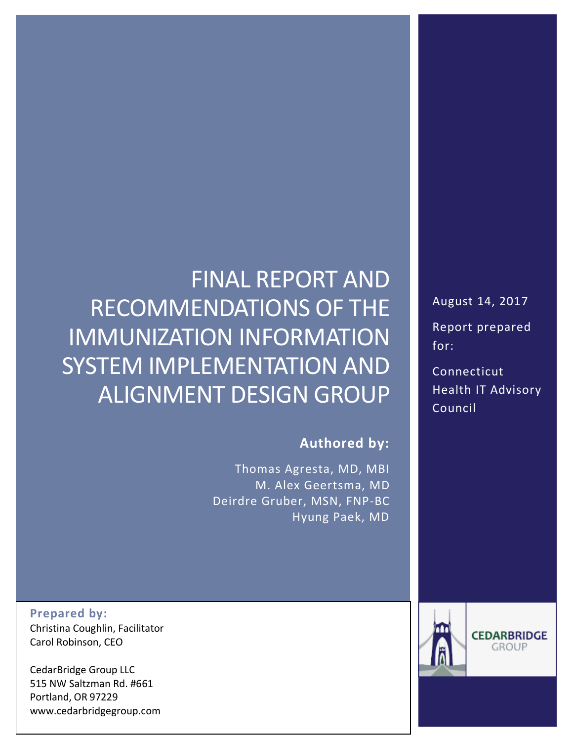# FINAL REPORT AND RECOMMENDATIONS OF THE IMMUNIZATION INFORMATION SYSTEM IMPLEMENTATION AND ALIGNMENT DESIGN GROUP

### **Authored by:**

Thomas Agresta, MD, MBI M. Alex Geertsma, MD Deirdre Gruber, MSN, FNP-BC Hyung Paek, MD

**Prepared by:** Christina Coughlin, Facilitator Carol Robinson, CEO

CedarBridge Group LLC 515 NW Saltzman Rd. #661 Portland, OR 97229 www.cedarbridgegroup.com August 14, 2017 Report prepared for:

Connecticut Health IT Advisory Council

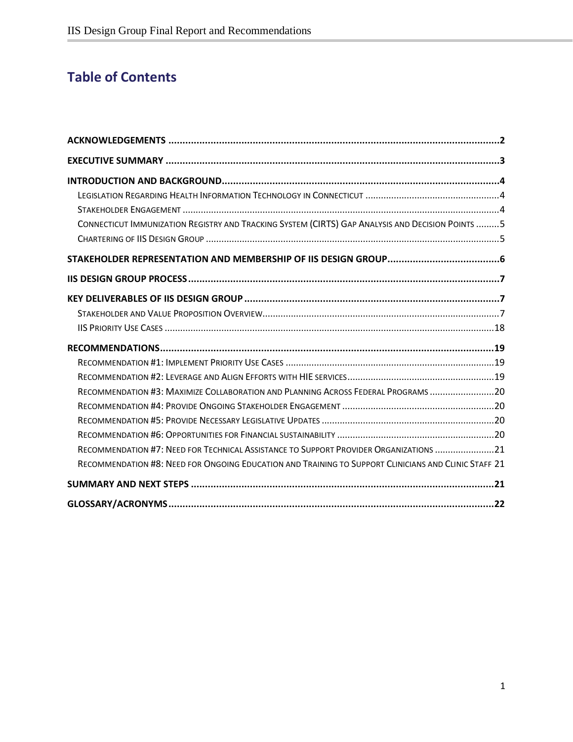# **Table of Contents**

| CONNECTICUT IMMUNIZATION REGISTRY AND TRACKING SYSTEM (CIRTS) GAP ANALYSIS AND DECISION POINTS  5    |  |
|------------------------------------------------------------------------------------------------------|--|
|                                                                                                      |  |
|                                                                                                      |  |
|                                                                                                      |  |
|                                                                                                      |  |
|                                                                                                      |  |
|                                                                                                      |  |
|                                                                                                      |  |
|                                                                                                      |  |
|                                                                                                      |  |
| RECOMMENDATION #3: MAXIMIZE COLLABORATION AND PLANNING ACROSS FEDERAL PROGRAMS 20                    |  |
|                                                                                                      |  |
|                                                                                                      |  |
|                                                                                                      |  |
| RECOMMENDATION #7: NEED FOR TECHNICAL ASSISTANCE TO SUPPORT PROVIDER ORGANIZATIONS 21                |  |
| RECOMMENDATION #8: NEED FOR ONGOING EDUCATION AND TRAINING TO SUPPORT CLINICIANS AND CLINIC STAFF 21 |  |
|                                                                                                      |  |
|                                                                                                      |  |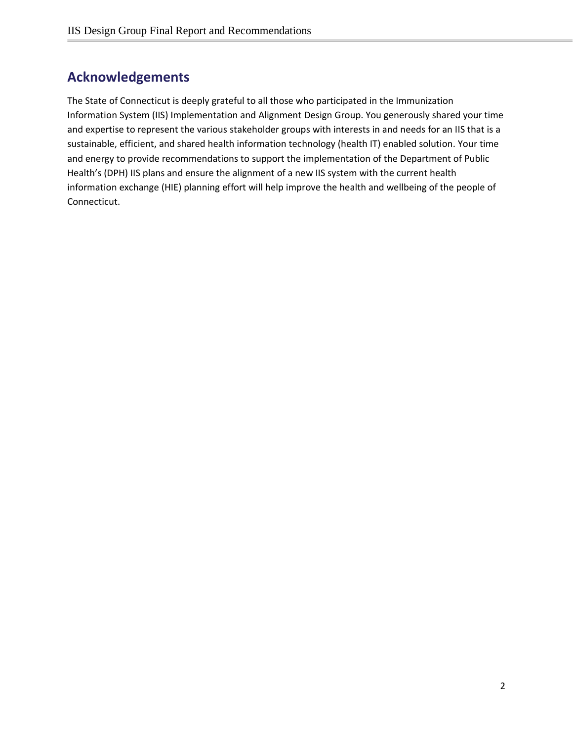# <span id="page-2-0"></span>**Acknowledgements**

The State of Connecticut is deeply grateful to all those who participated in the Immunization Information System (IIS) Implementation and Alignment Design Group. You generously shared your time and expertise to represent the various stakeholder groups with interests in and needs for an IIS that is a sustainable, efficient, and shared health information technology (health IT) enabled solution. Your time and energy to provide recommendations to support the implementation of the Department of Public Health's (DPH) IIS plans and ensure the alignment of a new IIS system with the current health information exchange (HIE) planning effort will help improve the health and wellbeing of the people of Connecticut.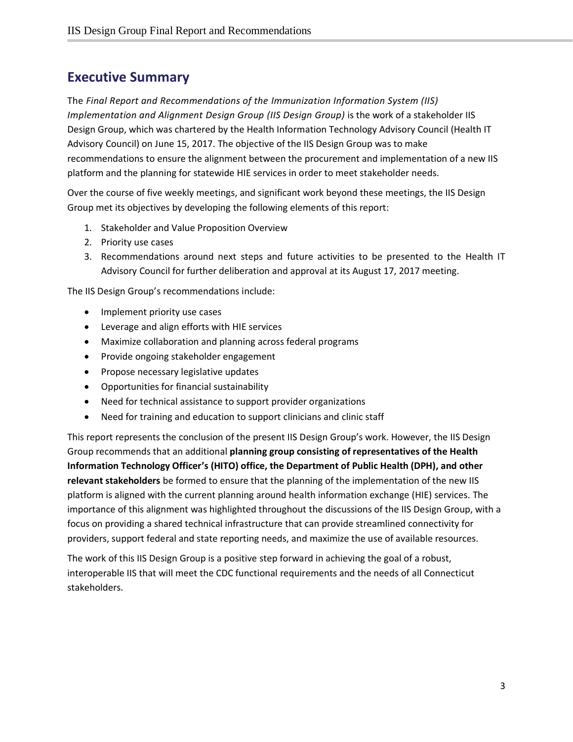# <span id="page-3-0"></span>**Executive Summary**

The *Final Report and Recommendations of the Immunization Information System (IIS) Implementation and Alignment Design Group (IIS Design Group)* is the work of a stakeholder IIS Design Group, which was chartered by the Health Information Technology Advisory Council (Health IT Advisory Council) on June 15, 2017. The objective of the IIS Design Group was to make recommendations to ensure the alignment between the procurement and implementation of a new IIS platform and the planning for statewide HIE services in order to meet stakeholder needs.

Over the course of five weekly meetings, and significant work beyond these meetings, the IIS Design Group met its objectives by developing the following elements of this report:

- 1. Stakeholder and Value Proposition Overview
- 2. Priority use cases
- 3. Recommendations around next steps and future activities to be presented to the Health IT Advisory Council for further deliberation and approval at its August 17, 2017 meeting.

The IIS Design Group's recommendations include:

- Implement priority use cases
- Leverage and align efforts with HIE services
- Maximize collaboration and planning across federal programs
- Provide ongoing stakeholder engagement
- Propose necessary legislative updates
- Opportunities for financial sustainability
- Need for technical assistance to support provider organizations
- Need for training and education to support clinicians and clinic staff

This report represents the conclusion of the present IIS Design Group's work. However, the IIS Design Group recommends that an additional **planning group consisting of representatives of the Health Information Technology Officer's (HITO) office, the Department of Public Health (DPH), and other relevant stakeholders** be formed to ensure that the planning of the implementation of the new IIS platform is aligned with the current planning around health information exchange (HIE) services. The importance of this alignment was highlighted throughout the discussions of the IIS Design Group, with a focus on providing a shared technical infrastructure that can provide streamlined connectivity for providers, support federal and state reporting needs, and maximize the use of available resources.

The work of this IIS Design Group is a positive step forward in achieving the goal of a robust, interoperable IIS that will meet the CDC functional requirements and the needs of all Connecticut stakeholders.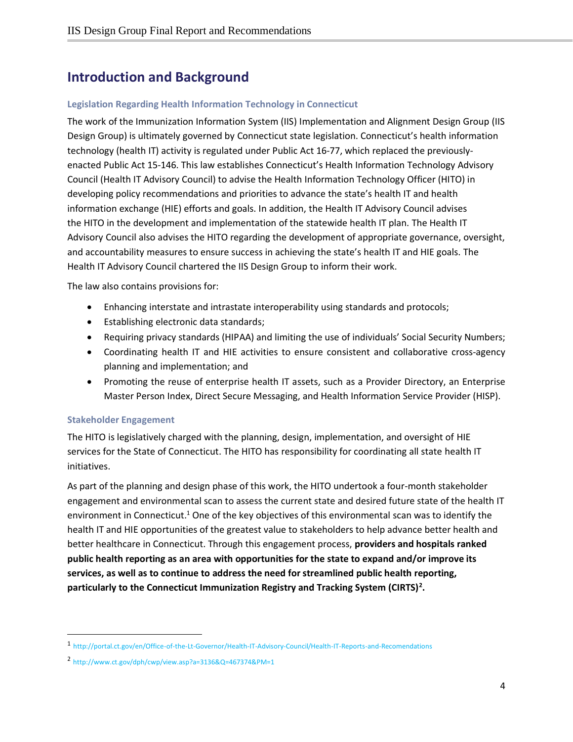# <span id="page-4-0"></span>**Introduction and Background**

#### <span id="page-4-1"></span>**Legislation Regarding Health Information Technology in Connecticut**

The work of the Immunization Information System (IIS) Implementation and Alignment Design Group (IIS Design Group) is ultimately governed by Connecticut state legislation. Connecticut's health information technology (health IT) activity is regulated under Public Act 16-77, which replaced the previouslyenacted Public Act 15-146. This law establishes Connecticut's Health Information Technology Advisory Council (Health IT Advisory Council) to advise the Health Information Technology Officer (HITO) in developing policy recommendations and priorities to advance the state's health IT and health information exchange (HIE) efforts and goals. In addition, the Health IT Advisory Council advises the HITO in the development and implementation of the statewide health IT plan. The Health IT Advisory Council also advises the HITO regarding the development of appropriate governance, oversight, and accountability measures to ensure success in achieving the state's health IT and HIE goals. The Health IT Advisory Council chartered the IIS Design Group to inform their work.

The law also contains provisions for:

- Enhancing interstate and intrastate interoperability using standards and protocols;
- Establishing electronic data standards;
- Requiring privacy standards (HIPAA) and limiting the use of individuals' Social Security Numbers;
- Coordinating health IT and HIE activities to ensure consistent and collaborative cross-agency planning and implementation; and
- Promoting the reuse of enterprise health IT assets, such as a Provider Directory, an Enterprise Master Person Index, Direct Secure Messaging, and Health Information Service Provider (HISP).

#### <span id="page-4-2"></span>**Stakeholder Engagement**

 $\overline{a}$ 

The HITO is legislatively charged with the planning, design, implementation, and oversight of HIE services for the State of Connecticut. The HITO has responsibility for coordinating all state health IT initiatives.

As part of the planning and design phase of this work, the HITO undertook a four-month stakeholder engagement and environmental scan to assess the current state and desired future state of the health IT environment in Connecticut.<sup>1</sup> One of the key objectives of this environmental scan was to identify the health IT and HIE opportunities of the greatest value to stakeholders to help advance better health and better healthcare in Connecticut. Through this engagement process, **providers and hospitals ranked public health reporting as an area with opportunities for the state to expand and/or improve its services, as well as to continue to address the need for streamlined public health reporting, particularly to the Connecticut Immunization Registry and Tracking System (CIRTS)<sup>2</sup> .**

<sup>1</sup> <http://portal.ct.gov/en/Office-of-the-Lt-Governor/Health-IT-Advisory-Council/Health-IT-Reports-and-Recomendations>

<sup>2</sup> <http://www.ct.gov/dph/cwp/view.asp?a=3136&Q=467374&PM=1>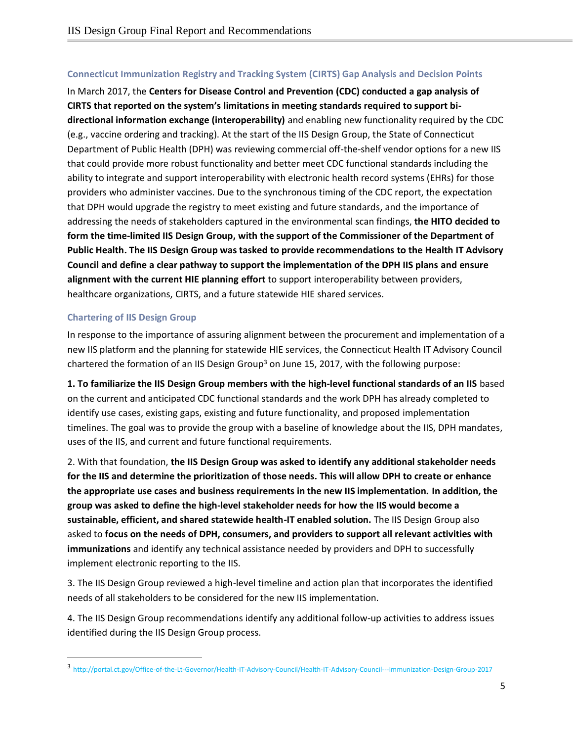#### <span id="page-5-0"></span>**Connecticut Immunization Registry and Tracking System (CIRTS) Gap Analysis and Decision Points**

In March 2017, the **Centers for Disease Control and Prevention (CDC) conducted a gap analysis of CIRTS that reported on the system's limitations in meeting standards required to support bidirectional information exchange (interoperability)** and enabling new functionality required by the CDC (e.g., vaccine ordering and tracking). At the start of the IIS Design Group, the State of Connecticut Department of Public Health (DPH) was reviewing commercial off-the-shelf vendor options for a new IIS that could provide more robust functionality and better meet CDC functional standards including the ability to integrate and support interoperability with electronic health record systems (EHRs) for those providers who administer vaccines. Due to the synchronous timing of the CDC report, the expectation that DPH would upgrade the registry to meet existing and future standards, and the importance of addressing the needs of stakeholders captured in the environmental scan findings, **the HITO decided to form the time-limited IIS Design Group, with the support of the Commissioner of the Department of Public Health. The IIS Design Group was tasked to provide recommendations to the Health IT Advisory Council and define a clear pathway to support the implementation of the DPH IIS plans and ensure alignment with the current HIE planning effort** to support interoperability between providers, healthcare organizations, CIRTS, and a future statewide HIE shared services.

#### <span id="page-5-1"></span>**Chartering of IIS Design Group**

 $\overline{a}$ 

In response to the importance of assuring alignment between the procurement and implementation of a new IIS platform and the planning for statewide HIE services, the Connecticut Health IT Advisory Council chartered the formation of an IIS Design Group<sup>3</sup> on June 15, 2017, with the following purpose:

**1. To familiarize the IIS Design Group members with the high-level functional standards of an IIS** based on the current and anticipated CDC functional standards and the work DPH has already completed to identify use cases, existing gaps, existing and future functionality, and proposed implementation timelines. The goal was to provide the group with a baseline of knowledge about the IIS, DPH mandates, uses of the IIS, and current and future functional requirements.

2. With that foundation, **the IIS Design Group was asked to identify any additional stakeholder needs for the IIS and determine the prioritization of those needs. This will allow DPH to create or enhance the appropriate use cases and business requirements in the new IIS implementation. In addition, the group was asked to define the high-level stakeholder needs for how the IIS would become a sustainable, efficient, and shared statewide health-IT enabled solution.** The IIS Design Group also asked to **focus on the needs of DPH, consumers, and providers to support all relevant activities with immunizations** and identify any technical assistance needed by providers and DPH to successfully implement electronic reporting to the IIS.

3. The IIS Design Group reviewed a high-level timeline and action plan that incorporates the identified needs of all stakeholders to be considered for the new IIS implementation.

4. The IIS Design Group recommendations identify any additional follow-up activities to address issues identified during the IIS Design Group process.

<sup>3</sup> <http://portal.ct.gov/Office-of-the-Lt-Governor/Health-IT-Advisory-Council/Health-IT-Advisory-Council---Immunization-Design-Group-2017>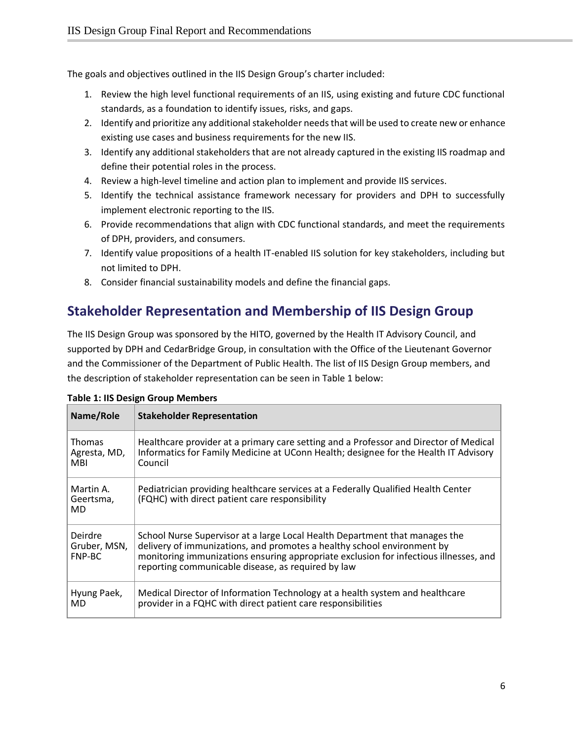The goals and objectives outlined in the IIS Design Group's charter included:

- 1. Review the high level functional requirements of an IIS, using existing and future CDC functional standards, as a foundation to identify issues, risks, and gaps.
- 2. Identify and prioritize any additional stakeholder needs that will be used to create new or enhance existing use cases and business requirements for the new IIS.
- 3. Identify any additional stakeholders that are not already captured in the existing IIS roadmap and define their potential roles in the process.
- 4. Review a high-level timeline and action plan to implement and provide IIS services.
- 5. Identify the technical assistance framework necessary for providers and DPH to successfully implement electronic reporting to the IIS.
- 6. Provide recommendations that align with CDC functional standards, and meet the requirements of DPH, providers, and consumers.
- 7. Identify value propositions of a health IT-enabled IIS solution for key stakeholders, including but not limited to DPH.
- 8. Consider financial sustainability models and define the financial gaps.

# <span id="page-6-0"></span>**Stakeholder Representation and Membership of IIS Design Group**

The IIS Design Group was sponsored by the HITO, governed by the Health IT Advisory Council, and supported by DPH and CedarBridge Group, in consultation with the Office of the Lieutenant Governor and the Commissioner of the Department of Public Health. The list of IIS Design Group members, and the description of stakeholder representation can be seen in Table 1 below:

| Name/Role                                   | <b>Stakeholder Representation</b>                                                                                                                                                                                                                                                                     |
|---------------------------------------------|-------------------------------------------------------------------------------------------------------------------------------------------------------------------------------------------------------------------------------------------------------------------------------------------------------|
| <b>Thomas</b><br>Agresta, MD,<br><b>MBI</b> | Healthcare provider at a primary care setting and a Professor and Director of Medical<br>Informatics for Family Medicine at UConn Health; designee for the Health IT Advisory<br>Council                                                                                                              |
| Martin A.<br>Geertsma,<br>MD.               | Pediatrician providing healthcare services at a Federally Qualified Health Center<br>(FQHC) with direct patient care responsibility                                                                                                                                                                   |
| Deirdre<br>Gruber, MSN,<br>FNP-BC           | School Nurse Supervisor at a large Local Health Department that manages the<br>delivery of immunizations, and promotes a healthy school environment by<br>monitoring immunizations ensuring appropriate exclusion for infectious illnesses, and<br>reporting communicable disease, as required by law |
| Hyung Paek,<br>MD                           | Medical Director of Information Technology at a health system and healthcare<br>provider in a FQHC with direct patient care responsibilities                                                                                                                                                          |

|  |  | <b>Table 1: IIS Design Group Members</b> |
|--|--|------------------------------------------|
|  |  |                                          |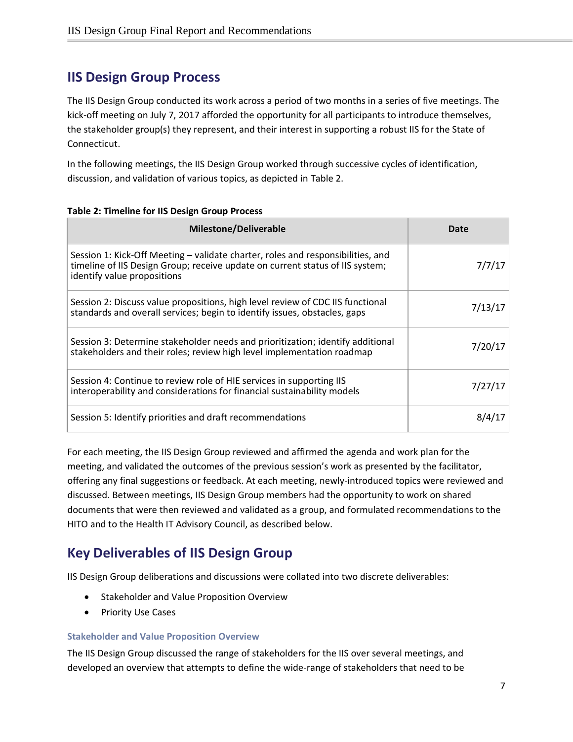### <span id="page-7-0"></span>**IIS Design Group Process**

The IIS Design Group conducted its work across a period of two months in a series of five meetings. The kick-off meeting on July 7, 2017 afforded the opportunity for all participants to introduce themselves, the stakeholder group(s) they represent, and their interest in supporting a robust IIS for the State of Connecticut.

In the following meetings, the IIS Design Group worked through successive cycles of identification, discussion, and validation of various topics, as depicted in Table 2.

| <b>Milestone/Deliverable</b>                                                                                                                                                                    | Date    |
|-------------------------------------------------------------------------------------------------------------------------------------------------------------------------------------------------|---------|
| Session 1: Kick-Off Meeting - validate charter, roles and responsibilities, and<br>timeline of IIS Design Group; receive update on current status of IIS system;<br>identify value propositions | 7/7/17  |
| Session 2: Discuss value propositions, high level review of CDC IIS functional<br>standards and overall services; begin to identify issues, obstacles, gaps                                     | 7/13/17 |
| Session 3: Determine stakeholder needs and prioritization; identify additional<br>stakeholders and their roles; review high level implementation roadmap                                        | 7/20/17 |
| Session 4: Continue to review role of HIE services in supporting IIS<br>interoperability and considerations for financial sustainability models                                                 | 7/27/17 |
| Session 5: Identify priorities and draft recommendations                                                                                                                                        | 8/4/1   |

**Table 2: Timeline for IIS Design Group Process**

For each meeting, the IIS Design Group reviewed and affirmed the agenda and work plan for the meeting, and validated the outcomes of the previous session's work as presented by the facilitator, offering any final suggestions or feedback. At each meeting, newly-introduced topics were reviewed and discussed. Between meetings, IIS Design Group members had the opportunity to work on shared documents that were then reviewed and validated as a group, and formulated recommendations to the HITO and to the Health IT Advisory Council, as described below.

# <span id="page-7-1"></span>**Key Deliverables of IIS Design Group**

IIS Design Group deliberations and discussions were collated into two discrete deliverables:

- Stakeholder and Value Proposition Overview
- Priority Use Cases

#### <span id="page-7-2"></span>**Stakeholder and Value Proposition Overview**

The IIS Design Group discussed the range of stakeholders for the IIS over several meetings, and developed an overview that attempts to define the wide-range of stakeholders that need to be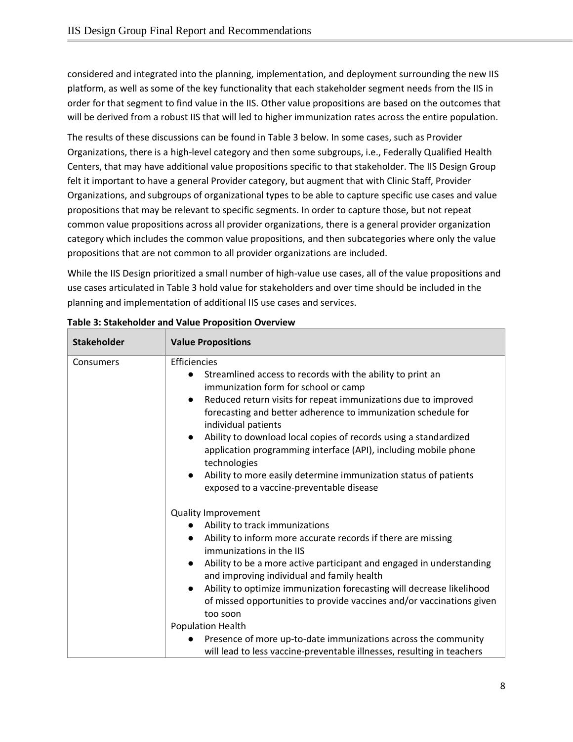considered and integrated into the planning, implementation, and deployment surrounding the new IIS platform, as well as some of the key functionality that each stakeholder segment needs from the IIS in order for that segment to find value in the IIS. Other value propositions are based on the outcomes that will be derived from a robust IIS that will led to higher immunization rates across the entire population.

The results of these discussions can be found in Table 3 below. In some cases, such as Provider Organizations, there is a high-level category and then some subgroups, i.e., Federally Qualified Health Centers, that may have additional value propositions specific to that stakeholder. The IIS Design Group felt it important to have a general Provider category, but augment that with Clinic Staff, Provider Organizations, and subgroups of organizational types to be able to capture specific use cases and value propositions that may be relevant to specific segments. In order to capture those, but not repeat common value propositions across all provider organizations, there is a general provider organization category which includes the common value propositions, and then subcategories where only the value propositions that are not common to all provider organizations are included.

While the IIS Design prioritized a small number of high-value use cases, all of the value propositions and use cases articulated in Table 3 hold value for stakeholders and over time should be included in the planning and implementation of additional IIS use cases and services.

| <b>Stakeholder</b> | <b>Value Propositions</b>                                                                                                                                                                                                                                                                                                                                                                                                                                                                                                                                                                                                                     |
|--------------------|-----------------------------------------------------------------------------------------------------------------------------------------------------------------------------------------------------------------------------------------------------------------------------------------------------------------------------------------------------------------------------------------------------------------------------------------------------------------------------------------------------------------------------------------------------------------------------------------------------------------------------------------------|
| Consumers          | Efficiencies<br>Streamlined access to records with the ability to print an<br>$\bullet$<br>immunization form for school or camp<br>Reduced return visits for repeat immunizations due to improved<br>forecasting and better adherence to immunization schedule for<br>individual patients<br>Ability to download local copies of records using a standardized<br>$\bullet$<br>application programming interface (API), including mobile phone<br>technologies<br>Ability to more easily determine immunization status of patients<br>$\bullet$<br>exposed to a vaccine-preventable disease                                                    |
|                    | Quality Improvement<br>Ability to track immunizations<br>Ability to inform more accurate records if there are missing<br>$\bullet$<br>immunizations in the IIS<br>Ability to be a more active participant and engaged in understanding<br>$\bullet$<br>and improving individual and family health<br>Ability to optimize immunization forecasting will decrease likelihood<br>$\bullet$<br>of missed opportunities to provide vaccines and/or vaccinations given<br>too soon<br>Population Health<br>Presence of more up-to-date immunizations across the community<br>will lead to less vaccine-preventable illnesses, resulting in teachers |

| Table 3: Stakeholder and Value Proposition Overview |  |  |
|-----------------------------------------------------|--|--|
|                                                     |  |  |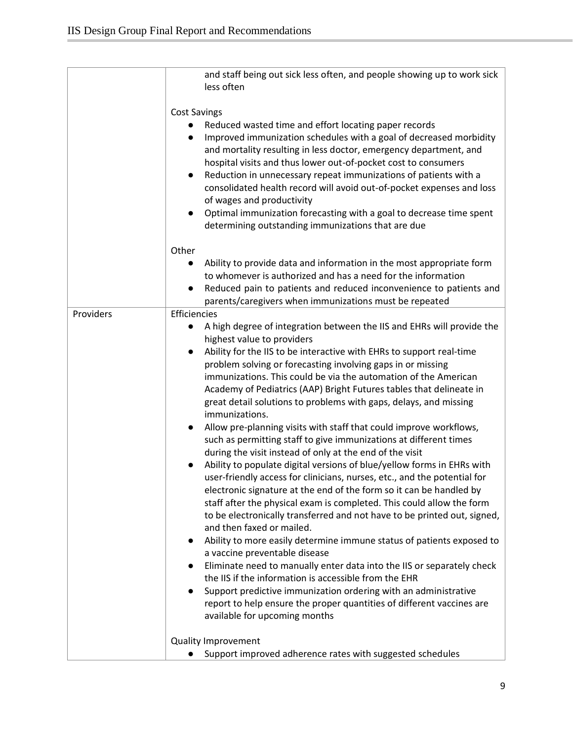|           | and staff being out sick less often, and people showing up to work sick<br>less often                                                                                                                                                                                                                                                                                                                                                                                                                                                                                                                                                                                                                                                                                                                                                                                                                                                                                                                                                                                                                                                                                                                                                                                                                                                                                                                                                                                                                                                                                                                |
|-----------|------------------------------------------------------------------------------------------------------------------------------------------------------------------------------------------------------------------------------------------------------------------------------------------------------------------------------------------------------------------------------------------------------------------------------------------------------------------------------------------------------------------------------------------------------------------------------------------------------------------------------------------------------------------------------------------------------------------------------------------------------------------------------------------------------------------------------------------------------------------------------------------------------------------------------------------------------------------------------------------------------------------------------------------------------------------------------------------------------------------------------------------------------------------------------------------------------------------------------------------------------------------------------------------------------------------------------------------------------------------------------------------------------------------------------------------------------------------------------------------------------------------------------------------------------------------------------------------------------|
|           | <b>Cost Savings</b><br>Reduced wasted time and effort locating paper records<br>Improved immunization schedules with a goal of decreased morbidity<br>and mortality resulting in less doctor, emergency department, and<br>hospital visits and thus lower out-of-pocket cost to consumers<br>Reduction in unnecessary repeat immunizations of patients with a<br>$\bullet$<br>consolidated health record will avoid out-of-pocket expenses and loss<br>of wages and productivity<br>Optimal immunization forecasting with a goal to decrease time spent<br>$\bullet$<br>determining outstanding immunizations that are due                                                                                                                                                                                                                                                                                                                                                                                                                                                                                                                                                                                                                                                                                                                                                                                                                                                                                                                                                                           |
|           | Other<br>Ability to provide data and information in the most appropriate form                                                                                                                                                                                                                                                                                                                                                                                                                                                                                                                                                                                                                                                                                                                                                                                                                                                                                                                                                                                                                                                                                                                                                                                                                                                                                                                                                                                                                                                                                                                        |
|           | to whomever is authorized and has a need for the information<br>Reduced pain to patients and reduced inconvenience to patients and<br>parents/caregivers when immunizations must be repeated                                                                                                                                                                                                                                                                                                                                                                                                                                                                                                                                                                                                                                                                                                                                                                                                                                                                                                                                                                                                                                                                                                                                                                                                                                                                                                                                                                                                         |
| Providers | Efficiencies<br>A high degree of integration between the IIS and EHRs will provide the<br>highest value to providers<br>Ability for the IIS to be interactive with EHRs to support real-time<br>problem solving or forecasting involving gaps in or missing<br>immunizations. This could be via the automation of the American<br>Academy of Pediatrics (AAP) Bright Futures tables that delineate in<br>great detail solutions to problems with gaps, delays, and missing<br>immunizations.<br>Allow pre-planning visits with staff that could improve workflows,<br>such as permitting staff to give immunizations at different times<br>during the visit instead of only at the end of the visit<br>Ability to populate digital versions of blue/yellow forms in EHRs with<br>user-friendly access for clinicians, nurses, etc., and the potential for<br>electronic signature at the end of the form so it can be handled by<br>staff after the physical exam is completed. This could allow the form<br>to be electronically transferred and not have to be printed out, signed,<br>and then faxed or mailed.<br>Ability to more easily determine immune status of patients exposed to<br>$\bullet$<br>a vaccine preventable disease<br>Eliminate need to manually enter data into the IIS or separately check<br>the IIS if the information is accessible from the EHR<br>Support predictive immunization ordering with an administrative<br>$\bullet$<br>report to help ensure the proper quantities of different vaccines are<br>available for upcoming months<br><b>Quality Improvement</b> |
|           | Support improved adherence rates with suggested schedules                                                                                                                                                                                                                                                                                                                                                                                                                                                                                                                                                                                                                                                                                                                                                                                                                                                                                                                                                                                                                                                                                                                                                                                                                                                                                                                                                                                                                                                                                                                                            |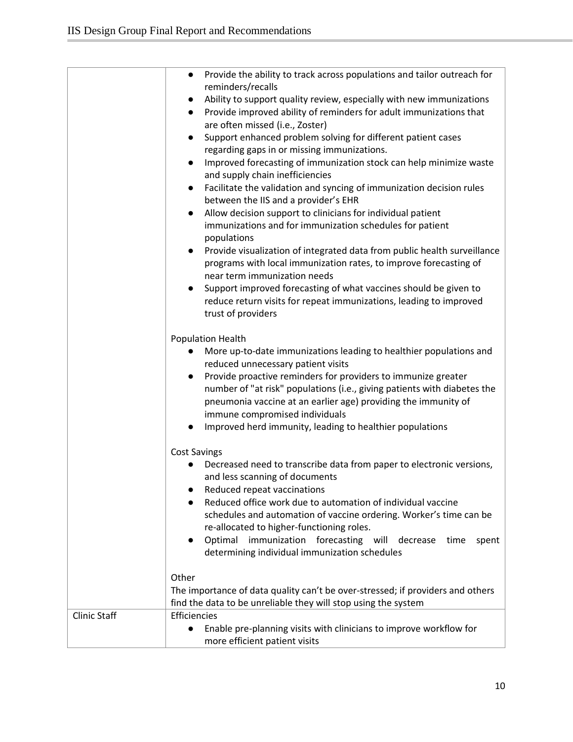|                     | Provide the ability to track across populations and tailor outreach for<br>$\bullet$                     |
|---------------------|----------------------------------------------------------------------------------------------------------|
|                     | reminders/recalls                                                                                        |
|                     | Ability to support quality review, especially with new immunizations<br>$\bullet$                        |
|                     | Provide improved ability of reminders for adult immunizations that<br>$\bullet$                          |
|                     | are often missed (i.e., Zoster)                                                                          |
|                     | Support enhanced problem solving for different patient cases<br>$\bullet$                                |
|                     | regarding gaps in or missing immunizations.                                                              |
|                     | Improved forecasting of immunization stock can help minimize waste<br>$\bullet$                          |
|                     | and supply chain inefficiencies                                                                          |
|                     | Facilitate the validation and syncing of immunization decision rules<br>$\bullet$                        |
|                     | between the IIS and a provider's EHR                                                                     |
|                     | Allow decision support to clinicians for individual patient<br>$\bullet$                                 |
|                     | immunizations and for immunization schedules for patient                                                 |
|                     | populations                                                                                              |
|                     | Provide visualization of integrated data from public health surveillance<br>$\bullet$                    |
|                     | programs with local immunization rates, to improve forecasting of                                        |
|                     | near term immunization needs                                                                             |
|                     | Support improved forecasting of what vaccines should be given to<br>$\bullet$                            |
|                     | reduce return visits for repeat immunizations, leading to improved                                       |
|                     | trust of providers                                                                                       |
|                     |                                                                                                          |
|                     | <b>Population Health</b>                                                                                 |
|                     | More up-to-date immunizations leading to healthier populations and<br>reduced unnecessary patient visits |
|                     | Provide proactive reminders for providers to immunize greater                                            |
|                     | number of "at risk" populations (i.e., giving patients with diabetes the                                 |
|                     | pneumonia vaccine at an earlier age) providing the immunity of                                           |
|                     | immune compromised individuals                                                                           |
|                     | Improved herd immunity, leading to healthier populations                                                 |
|                     |                                                                                                          |
|                     | <b>Cost Savings</b>                                                                                      |
|                     | Decreased need to transcribe data from paper to electronic versions,                                     |
|                     | and less scanning of documents                                                                           |
|                     | Reduced repeat vaccinations                                                                              |
|                     | Reduced office work due to automation of individual vaccine<br>●                                         |
|                     | schedules and automation of vaccine ordering. Worker's time can be                                       |
|                     | re-allocated to higher-functioning roles.                                                                |
|                     | Optimal immunization forecasting will decrease<br>time<br>spent<br>$\bullet$                             |
|                     | determining individual immunization schedules                                                            |
|                     |                                                                                                          |
|                     | Other                                                                                                    |
|                     | The importance of data quality can't be over-stressed; if providers and others                           |
|                     | find the data to be unreliable they will stop using the system                                           |
| <b>Clinic Staff</b> | Efficiencies                                                                                             |
|                     | Enable pre-planning visits with clinicians to improve workflow for<br>$\bullet$                          |
|                     | more efficient patient visits                                                                            |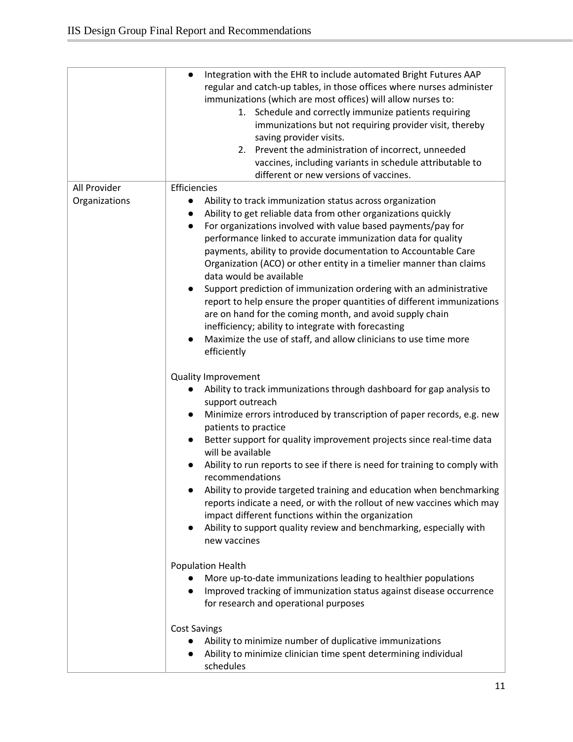|               | Integration with the EHR to include automated Bright Futures AAP<br>$\bullet$<br>regular and catch-up tables, in those offices where nurses administer<br>immunizations (which are most offices) will allow nurses to:<br>1. Schedule and correctly immunize patients requiring<br>immunizations but not requiring provider visit, thereby<br>saving provider visits.<br>2. Prevent the administration of incorrect, unneeded<br>vaccines, including variants in schedule attributable to<br>different or new versions of vaccines.                                                                                                                                                                                                                                                                           |
|---------------|---------------------------------------------------------------------------------------------------------------------------------------------------------------------------------------------------------------------------------------------------------------------------------------------------------------------------------------------------------------------------------------------------------------------------------------------------------------------------------------------------------------------------------------------------------------------------------------------------------------------------------------------------------------------------------------------------------------------------------------------------------------------------------------------------------------|
| All Provider  | Efficiencies                                                                                                                                                                                                                                                                                                                                                                                                                                                                                                                                                                                                                                                                                                                                                                                                  |
| Organizations | Ability to track immunization status across organization<br>$\bullet$<br>Ability to get reliable data from other organizations quickly<br>For organizations involved with value based payments/pay for<br>$\bullet$<br>performance linked to accurate immunization data for quality<br>payments, ability to provide documentation to Accountable Care<br>Organization (ACO) or other entity in a timelier manner than claims<br>data would be available<br>Support prediction of immunization ordering with an administrative<br>report to help ensure the proper quantities of different immunizations<br>are on hand for the coming month, and avoid supply chain<br>inefficiency; ability to integrate with forecasting<br>Maximize the use of staff, and allow clinicians to use time more<br>efficiently |
|               | <b>Quality Improvement</b><br>Ability to track immunizations through dashboard for gap analysis to<br>support outreach<br>Minimize errors introduced by transcription of paper records, e.g. new<br>patients to practice<br>Better support for quality improvement projects since real-time data<br>will be available<br>Ability to run reports to see if there is need for training to comply with<br>recommendations<br>Ability to provide targeted training and education when benchmarking<br>reports indicate a need, or with the rollout of new vaccines which may<br>impact different functions within the organization<br>Ability to support quality review and benchmarking, especially with<br>new vaccines                                                                                         |
|               | Population Health<br>More up-to-date immunizations leading to healthier populations<br>Improved tracking of immunization status against disease occurrence<br>for research and operational purposes                                                                                                                                                                                                                                                                                                                                                                                                                                                                                                                                                                                                           |
|               | <b>Cost Savings</b><br>Ability to minimize number of duplicative immunizations<br>Ability to minimize clinician time spent determining individual<br>schedules                                                                                                                                                                                                                                                                                                                                                                                                                                                                                                                                                                                                                                                |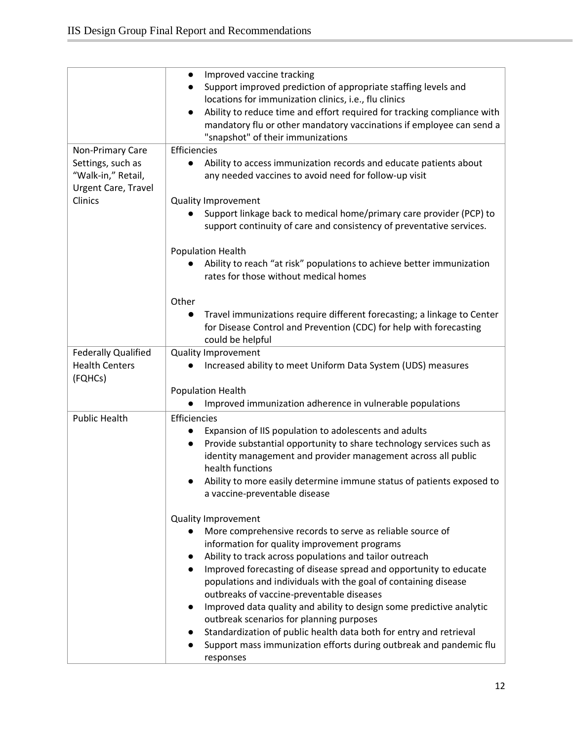|                            | Improved vaccine tracking<br>$\bullet$                                            |
|----------------------------|-----------------------------------------------------------------------------------|
|                            |                                                                                   |
|                            | Support improved prediction of appropriate staffing levels and<br>$\bullet$       |
|                            | locations for immunization clinics, i.e., flu clinics                             |
|                            | Ability to reduce time and effort required for tracking compliance with           |
|                            | mandatory flu or other mandatory vaccinations if employee can send a              |
|                            | "snapshot" of their immunizations                                                 |
| Non-Primary Care           | Efficiencies                                                                      |
| Settings, such as          | Ability to access immunization records and educate patients about                 |
| "Walk-in," Retail,         | any needed vaccines to avoid need for follow-up visit                             |
| Urgent Care, Travel        |                                                                                   |
| Clinics                    | <b>Quality Improvement</b>                                                        |
|                            | Support linkage back to medical home/primary care provider (PCP) to               |
|                            | support continuity of care and consistency of preventative services.              |
|                            |                                                                                   |
|                            | <b>Population Health</b>                                                          |
|                            | Ability to reach "at risk" populations to achieve better immunization             |
|                            | rates for those without medical homes                                             |
|                            |                                                                                   |
|                            | Other                                                                             |
|                            |                                                                                   |
|                            | Travel immunizations require different forecasting; a linkage to Center           |
|                            | for Disease Control and Prevention (CDC) for help with forecasting                |
|                            | could be helpful                                                                  |
| <b>Federally Qualified</b> | <b>Quality Improvement</b>                                                        |
| <b>Health Centers</b>      | Increased ability to meet Uniform Data System (UDS) measures                      |
| (FQHCs)                    |                                                                                   |
|                            | Population Health                                                                 |
|                            | Improved immunization adherence in vulnerable populations                         |
| <b>Public Health</b>       | Efficiencies                                                                      |
|                            | Expansion of IIS population to adolescents and adults                             |
|                            | Provide substantial opportunity to share technology services such as<br>$\bullet$ |
|                            | identity management and provider management across all public                     |
|                            | health functions                                                                  |
|                            | Ability to more easily determine immune status of patients exposed to             |
|                            | a vaccine-preventable disease                                                     |
|                            |                                                                                   |
|                            | <b>Quality Improvement</b>                                                        |
|                            | More comprehensive records to serve as reliable source of<br>$\bullet$            |
|                            |                                                                                   |
|                            | information for quality improvement programs                                      |
|                            | Ability to track across populations and tailor outreach                           |
|                            | Improved forecasting of disease spread and opportunity to educate<br>$\bullet$    |
|                            | populations and individuals with the goal of containing disease                   |
|                            | outbreaks of vaccine-preventable diseases                                         |
|                            | Improved data quality and ability to design some predictive analytic<br>$\bullet$ |
|                            | outbreak scenarios for planning purposes                                          |
|                            | Standardization of public health data both for entry and retrieval<br>$\bullet$   |
|                            | Support mass immunization efforts during outbreak and pandemic flu                |
|                            | responses                                                                         |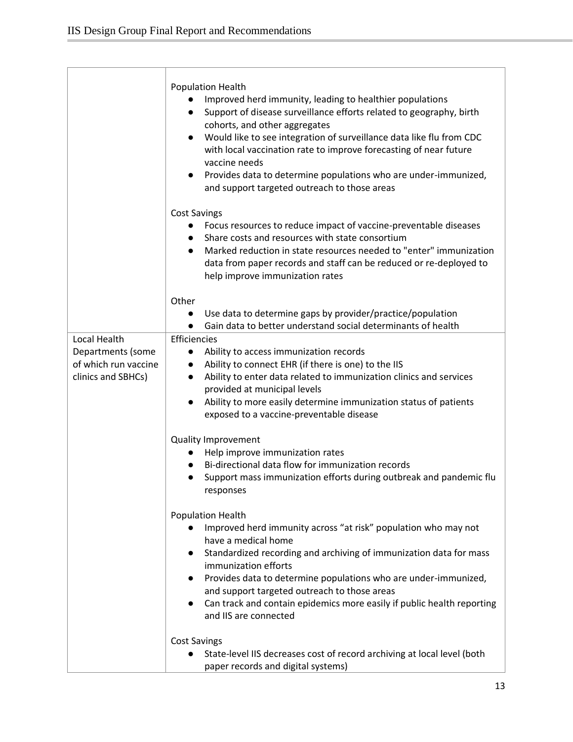|                                                                                        | <b>Population Health</b><br>Improved herd immunity, leading to healthier populations<br>Support of disease surveillance efforts related to geography, birth<br>$\bullet$<br>cohorts, and other aggregates<br>Would like to see integration of surveillance data like flu from CDC<br>$\bullet$<br>with local vaccination rate to improve forecasting of near future<br>vaccine needs<br>Provides data to determine populations who are under-immunized,<br>$\bullet$<br>and support targeted outreach to those areas |
|----------------------------------------------------------------------------------------|----------------------------------------------------------------------------------------------------------------------------------------------------------------------------------------------------------------------------------------------------------------------------------------------------------------------------------------------------------------------------------------------------------------------------------------------------------------------------------------------------------------------|
|                                                                                        | <b>Cost Savings</b><br>Focus resources to reduce impact of vaccine-preventable diseases<br>$\bullet$<br>Share costs and resources with state consortium<br>$\bullet$<br>Marked reduction in state resources needed to "enter" immunization<br>$\bullet$<br>data from paper records and staff can be reduced or re-deployed to<br>help improve immunization rates                                                                                                                                                     |
|                                                                                        | Other<br>Use data to determine gaps by provider/practice/population<br>Gain data to better understand social determinants of health<br>$\bullet$                                                                                                                                                                                                                                                                                                                                                                     |
| <b>Local Health</b><br>Departments (some<br>of which run vaccine<br>clinics and SBHCs) | Efficiencies<br>Ability to access immunization records<br>$\bullet$<br>Ability to connect EHR (if there is one) to the IIS<br>$\bullet$<br>Ability to enter data related to immunization clinics and services<br>$\bullet$<br>provided at municipal levels<br>Ability to more easily determine immunization status of patients<br>$\bullet$<br>exposed to a vaccine-preventable disease                                                                                                                              |
|                                                                                        | <b>Quality Improvement</b><br>Help improve immunization rates<br>Bi-directional data flow for immunization records<br>Support mass immunization efforts during outbreak and pandemic flu<br>$\bullet$<br>responses                                                                                                                                                                                                                                                                                                   |
|                                                                                        | <b>Population Health</b><br>Improved herd immunity across "at risk" population who may not<br>$\bullet$<br>have a medical home<br>Standardized recording and archiving of immunization data for mass<br>$\bullet$<br>immunization efforts<br>Provides data to determine populations who are under-immunized,<br>$\bullet$<br>and support targeted outreach to those areas<br>Can track and contain epidemics more easily if public health reporting<br>$\bullet$<br>and IIS are connected                            |
|                                                                                        | <b>Cost Savings</b><br>State-level IIS decreases cost of record archiving at local level (both<br>paper records and digital systems)                                                                                                                                                                                                                                                                                                                                                                                 |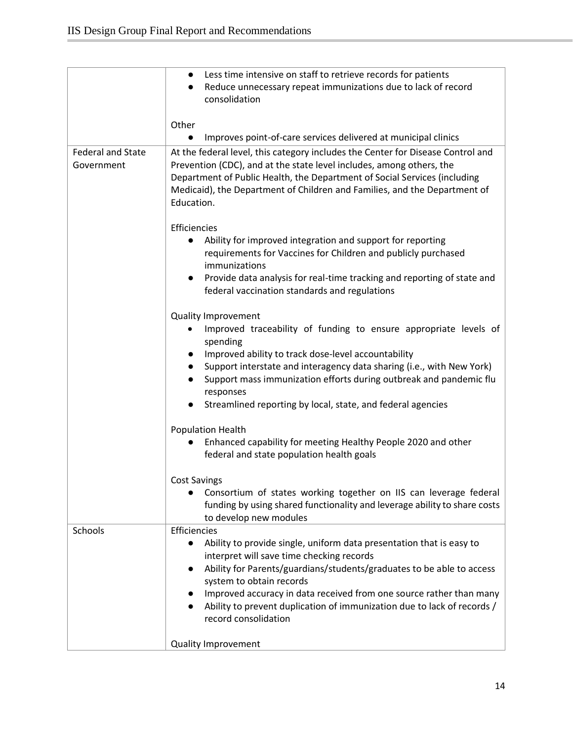|                                        | Less time intensive on staff to retrieve records for patients<br>$\bullet$<br>Reduce unnecessary repeat immunizations due to lack of record<br>$\bullet$                                                                                                                                                                                                                                                                      |
|----------------------------------------|-------------------------------------------------------------------------------------------------------------------------------------------------------------------------------------------------------------------------------------------------------------------------------------------------------------------------------------------------------------------------------------------------------------------------------|
|                                        | consolidation                                                                                                                                                                                                                                                                                                                                                                                                                 |
|                                        | Other                                                                                                                                                                                                                                                                                                                                                                                                                         |
|                                        | Improves point-of-care services delivered at municipal clinics<br>$\bullet$                                                                                                                                                                                                                                                                                                                                                   |
| <b>Federal and State</b><br>Government | At the federal level, this category includes the Center for Disease Control and<br>Prevention (CDC), and at the state level includes, among others, the<br>Department of Public Health, the Department of Social Services (including<br>Medicaid), the Department of Children and Families, and the Department of<br>Education.                                                                                               |
|                                        | Efficiencies<br>Ability for improved integration and support for reporting<br>requirements for Vaccines for Children and publicly purchased<br>immunizations<br>Provide data analysis for real-time tracking and reporting of state and<br>$\bullet$<br>federal vaccination standards and regulations                                                                                                                         |
|                                        | <b>Quality Improvement</b><br>Improved traceability of funding to ensure appropriate levels of<br>spending<br>Improved ability to track dose-level accountability<br>Support interstate and interagency data sharing (i.e., with New York)<br>Support mass immunization efforts during outbreak and pandemic flu<br>$\bullet$<br>responses<br>Streamlined reporting by local, state, and federal agencies                     |
|                                        | Population Health<br>Enhanced capability for meeting Healthy People 2020 and other<br>federal and state population health goals                                                                                                                                                                                                                                                                                               |
|                                        | <b>Cost Savings</b><br>Consortium of states working together on IIS can leverage federal<br>funding by using shared functionality and leverage ability to share costs<br>to develop new modules                                                                                                                                                                                                                               |
| Schools                                | Efficiencies<br>Ability to provide single, uniform data presentation that is easy to<br>$\bullet$<br>interpret will save time checking records<br>Ability for Parents/guardians/students/graduates to be able to access<br>system to obtain records<br>Improved accuracy in data received from one source rather than many<br>Ability to prevent duplication of immunization due to lack of records /<br>record consolidation |
|                                        | <b>Quality Improvement</b>                                                                                                                                                                                                                                                                                                                                                                                                    |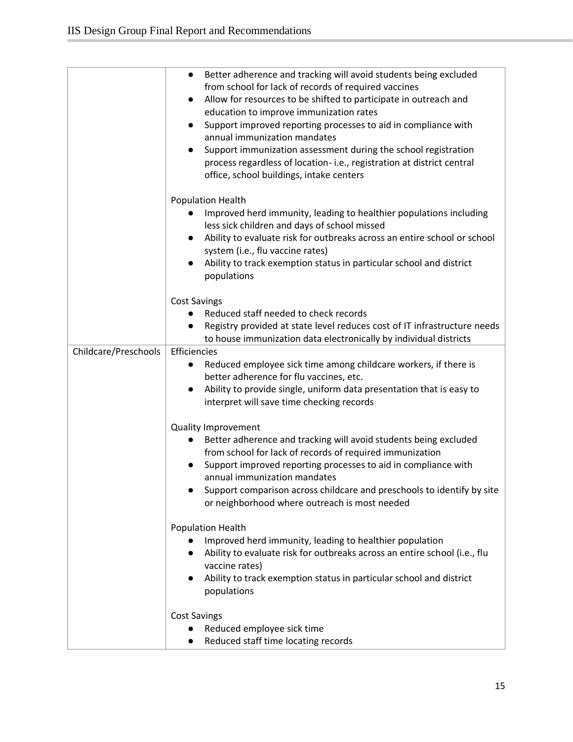|                      | Better adherence and tracking will avoid students being excluded<br>$\bullet$<br>from school for lack of records of required vaccines<br>Allow for resources to be shifted to participate in outreach and<br>education to improve immunization rates<br>Support improved reporting processes to aid in compliance with<br>annual immunization mandates<br>Support immunization assessment during the school registration<br>process regardless of location-i.e., registration at district central |
|----------------------|---------------------------------------------------------------------------------------------------------------------------------------------------------------------------------------------------------------------------------------------------------------------------------------------------------------------------------------------------------------------------------------------------------------------------------------------------------------------------------------------------|
|                      | office, school buildings, intake centers<br>Population Health<br>Improved herd immunity, leading to healthier populations including<br>less sick children and days of school missed<br>Ability to evaluate risk for outbreaks across an entire school or school<br>system (i.e., flu vaccine rates)<br>Ability to track exemption status in particular school and district<br>populations                                                                                                         |
|                      | <b>Cost Savings</b><br>Reduced staff needed to check records<br>Registry provided at state level reduces cost of IT infrastructure needs<br>to house immunization data electronically by individual districts                                                                                                                                                                                                                                                                                     |
| Childcare/Preschools | Efficiencies<br>Reduced employee sick time among childcare workers, if there is<br>better adherence for flu vaccines, etc.<br>Ability to provide single, uniform data presentation that is easy to<br>$\bullet$<br>interpret will save time checking records                                                                                                                                                                                                                                      |
|                      | <b>Quality Improvement</b><br>Better adherence and tracking will avoid students being excluded<br>from school for lack of records of required immunization<br>Support improved reporting processes to aid in compliance with<br>annual immunization mandates<br>Support comparison across childcare and preschools to identify by site<br>or neighborhood where outreach is most needed                                                                                                           |
|                      | <b>Population Health</b><br>Improved herd immunity, leading to healthier population<br>Ability to evaluate risk for outbreaks across an entire school (i.e., flu<br>$\bullet$<br>vaccine rates)<br>Ability to track exemption status in particular school and district<br>populations                                                                                                                                                                                                             |
|                      | <b>Cost Savings</b><br>Reduced employee sick time<br>Reduced staff time locating records                                                                                                                                                                                                                                                                                                                                                                                                          |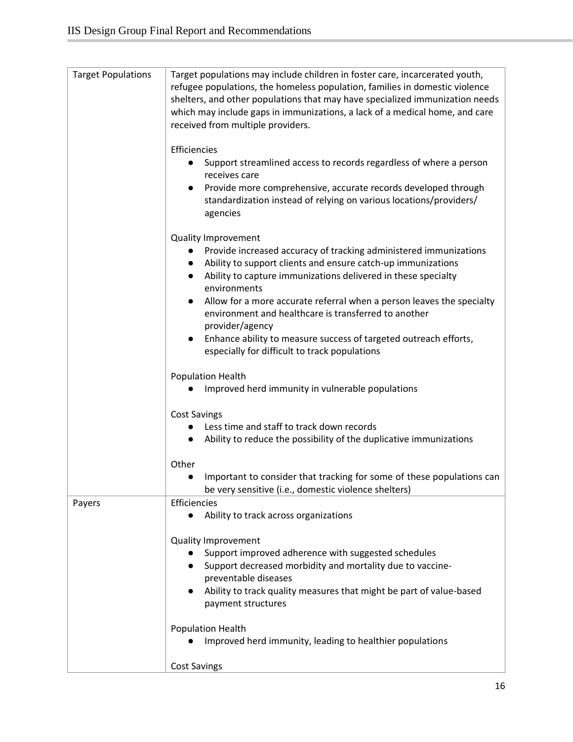| <b>Target Populations</b> | Target populations may include children in foster care, incarcerated youth,<br>refugee populations, the homeless population, families in domestic violence<br>shelters, and other populations that may have specialized immunization needs<br>which may include gaps in immunizations, a lack of a medical home, and care<br>received from multiple providers.<br>Efficiencies |
|---------------------------|--------------------------------------------------------------------------------------------------------------------------------------------------------------------------------------------------------------------------------------------------------------------------------------------------------------------------------------------------------------------------------|
|                           | Support streamlined access to records regardless of where a person<br>receives care<br>Provide more comprehensive, accurate records developed through                                                                                                                                                                                                                          |
|                           | standardization instead of relying on various locations/providers/<br>agencies                                                                                                                                                                                                                                                                                                 |
|                           | <b>Quality Improvement</b>                                                                                                                                                                                                                                                                                                                                                     |
|                           | Provide increased accuracy of tracking administered immunizations<br>Ability to support clients and ensure catch-up immunizations<br>Ability to capture immunizations delivered in these specialty<br>$\bullet$<br>environments                                                                                                                                                |
|                           | Allow for a more accurate referral when a person leaves the specialty<br>environment and healthcare is transferred to another<br>provider/agency                                                                                                                                                                                                                               |
|                           | Enhance ability to measure success of targeted outreach efforts,<br>$\bullet$<br>especially for difficult to track populations                                                                                                                                                                                                                                                 |
|                           | <b>Population Health</b><br>Improved herd immunity in vulnerable populations                                                                                                                                                                                                                                                                                                   |
|                           | <b>Cost Savings</b>                                                                                                                                                                                                                                                                                                                                                            |
|                           | Less time and staff to track down records<br>Ability to reduce the possibility of the duplicative immunizations                                                                                                                                                                                                                                                                |
|                           | Other                                                                                                                                                                                                                                                                                                                                                                          |
|                           | Important to consider that tracking for some of these populations can<br>be very sensitive (i.e., domestic violence shelters)                                                                                                                                                                                                                                                  |
| Payers                    | Efficiencies<br>Ability to track across organizations                                                                                                                                                                                                                                                                                                                          |
|                           | <b>Quality Improvement</b>                                                                                                                                                                                                                                                                                                                                                     |
|                           | Support improved adherence with suggested schedules<br>Support decreased morbidity and mortality due to vaccine-<br>preventable diseases                                                                                                                                                                                                                                       |
|                           | Ability to track quality measures that might be part of value-based<br>payment structures                                                                                                                                                                                                                                                                                      |
|                           | <b>Population Health</b>                                                                                                                                                                                                                                                                                                                                                       |
|                           | Improved herd immunity, leading to healthier populations                                                                                                                                                                                                                                                                                                                       |
|                           | <b>Cost Savings</b>                                                                                                                                                                                                                                                                                                                                                            |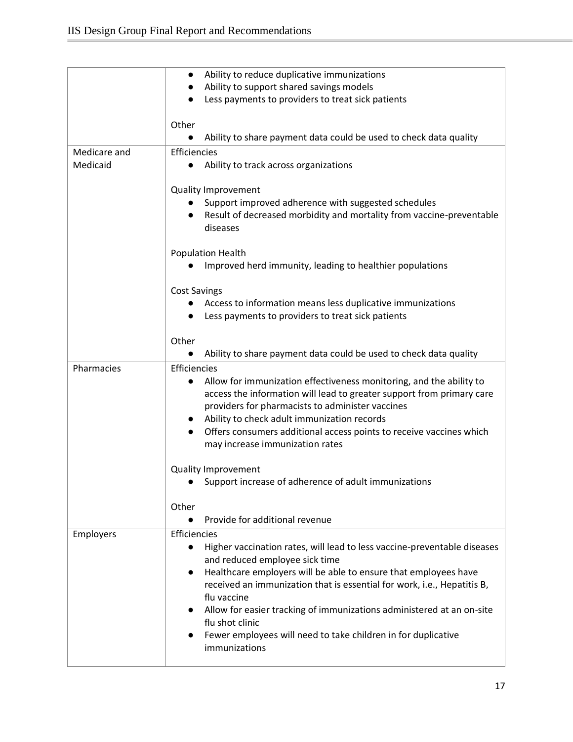|              | Ability to reduce duplicative immunizations<br>$\bullet$                              |
|--------------|---------------------------------------------------------------------------------------|
|              | Ability to support shared savings models                                              |
|              | Less payments to providers to treat sick patients                                     |
|              |                                                                                       |
|              | Other                                                                                 |
|              | Ability to share payment data could be used to check data quality                     |
| Medicare and | Efficiencies                                                                          |
| Medicaid     | Ability to track across organizations<br>$\bullet$                                    |
|              |                                                                                       |
|              | <b>Quality Improvement</b>                                                            |
|              | Support improved adherence with suggested schedules                                   |
|              | Result of decreased morbidity and mortality from vaccine-preventable                  |
|              | diseases                                                                              |
|              |                                                                                       |
|              | Population Health                                                                     |
|              | Improved herd immunity, leading to healthier populations                              |
|              |                                                                                       |
|              | <b>Cost Savings</b>                                                                   |
|              | Access to information means less duplicative immunizations                            |
|              | Less payments to providers to treat sick patients                                     |
|              |                                                                                       |
|              | Other                                                                                 |
|              | Ability to share payment data could be used to check data quality                     |
| Pharmacies   | Efficiencies                                                                          |
|              | Allow for immunization effectiveness monitoring, and the ability to<br>$\bullet$      |
|              | access the information will lead to greater support from primary care                 |
|              | providers for pharmacists to administer vaccines                                      |
|              | Ability to check adult immunization records<br>$\bullet$                              |
|              | Offers consumers additional access points to receive vaccines which                   |
|              | may increase immunization rates                                                       |
|              | Quality Improvement                                                                   |
|              | Support increase of adherence of adult immunizations                                  |
|              |                                                                                       |
|              | Other                                                                                 |
|              | Provide for additional revenue                                                        |
| Employers    | Efficiencies                                                                          |
|              | Higher vaccination rates, will lead to less vaccine-preventable diseases<br>$\bullet$ |
|              | and reduced employee sick time                                                        |
|              | Healthcare employers will be able to ensure that employees have<br>$\bullet$          |
|              | received an immunization that is essential for work, i.e., Hepatitis B,               |
|              | flu vaccine                                                                           |
|              | Allow for easier tracking of immunizations administered at an on-site                 |
|              | flu shot clinic                                                                       |
|              | Fewer employees will need to take children in for duplicative                         |
|              | immunizations                                                                         |
|              |                                                                                       |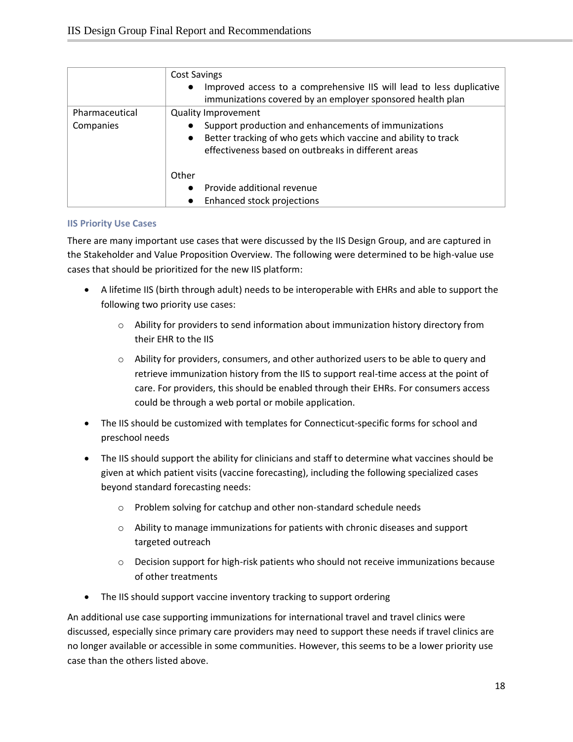|                | <b>Cost Savings</b>                                                         |
|----------------|-----------------------------------------------------------------------------|
|                | Improved access to a comprehensive IIS will lead to less duplicative        |
|                | immunizations covered by an employer sponsored health plan                  |
| Pharmaceutical | <b>Quality Improvement</b>                                                  |
| Companies      | Support production and enhancements of immunizations                        |
|                | Better tracking of who gets which vaccine and ability to track<br>$\bullet$ |
|                | effectiveness based on outbreaks in different areas                         |
|                | Other                                                                       |
|                | Provide additional revenue                                                  |
|                | Enhanced stock projections                                                  |

#### <span id="page-18-0"></span>**IIS Priority Use Cases**

There are many important use cases that were discussed by the IIS Design Group, and are captured in the Stakeholder and Value Proposition Overview. The following were determined to be high-value use cases that should be prioritized for the new IIS platform:

- A lifetime IIS (birth through adult) needs to be interoperable with EHRs and able to support the following two priority use cases:
	- o Ability for providers to send information about immunization history directory from their EHR to the IIS
	- $\circ$  Ability for providers, consumers, and other authorized users to be able to query and retrieve immunization history from the IIS to support real-time access at the point of care. For providers, this should be enabled through their EHRs. For consumers access could be through a web portal or mobile application.
- The IIS should be customized with templates for Connecticut-specific forms for school and preschool needs
- The IIS should support the ability for clinicians and staff to determine what vaccines should be given at which patient visits (vaccine forecasting), including the following specialized cases beyond standard forecasting needs:
	- o Problem solving for catchup and other non-standard schedule needs
	- $\circ$  Ability to manage immunizations for patients with chronic diseases and support targeted outreach
	- o Decision support for high-risk patients who should not receive immunizations because of other treatments
- The IIS should support vaccine inventory tracking to support ordering

An additional use case supporting immunizations for international travel and travel clinics were discussed, especially since primary care providers may need to support these needs if travel clinics are no longer available or accessible in some communities. However, this seems to be a lower priority use case than the others listed above.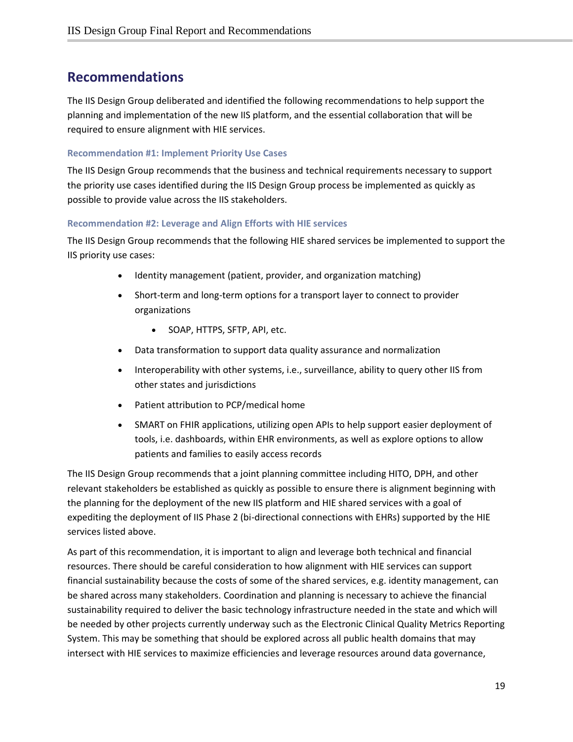## <span id="page-19-0"></span>**Recommendations**

The IIS Design Group deliberated and identified the following recommendations to help support the planning and implementation of the new IIS platform, and the essential collaboration that will be required to ensure alignment with HIE services.

#### <span id="page-19-1"></span>**Recommendation #1: Implement Priority Use Cases**

The IIS Design Group recommends that the business and technical requirements necessary to support the priority use cases identified during the IIS Design Group process be implemented as quickly as possible to provide value across the IIS stakeholders.

#### <span id="page-19-2"></span>**Recommendation #2: Leverage and Align Efforts with HIE services**

The IIS Design Group recommends that the following HIE shared services be implemented to support the IIS priority use cases:

- Identity management (patient, provider, and organization matching)
- Short-term and long-term options for a transport layer to connect to provider organizations
	- SOAP, HTTPS, SFTP, API, etc.
- Data transformation to support data quality assurance and normalization
- Interoperability with other systems, i.e., surveillance, ability to query other IIS from other states and jurisdictions
- Patient attribution to PCP/medical home
- SMART on FHIR applications, utilizing open APIs to help support easier deployment of tools, i.e. dashboards, within EHR environments, as well as explore options to allow patients and families to easily access records

The IIS Design Group recommends that a joint planning committee including HITO, DPH, and other relevant stakeholders be established as quickly as possible to ensure there is alignment beginning with the planning for the deployment of the new IIS platform and HIE shared services with a goal of expediting the deployment of IIS Phase 2 (bi-directional connections with EHRs) supported by the HIE services listed above.

As part of this recommendation, it is important to align and leverage both technical and financial resources. There should be careful consideration to how alignment with HIE services can support financial sustainability because the costs of some of the shared services, e.g. identity management, can be shared across many stakeholders. Coordination and planning is necessary to achieve the financial sustainability required to deliver the basic technology infrastructure needed in the state and which will be needed by other projects currently underway such as the Electronic Clinical Quality Metrics Reporting System. This may be something that should be explored across all public health domains that may intersect with HIE services to maximize efficiencies and leverage resources around data governance,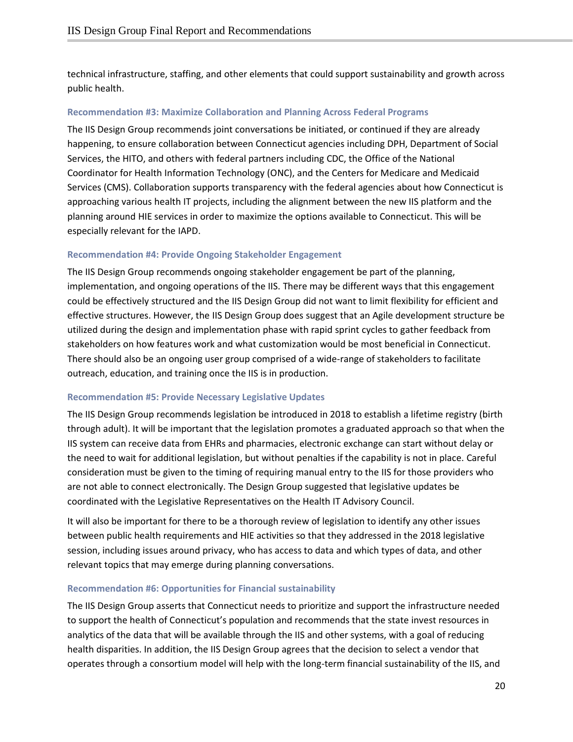technical infrastructure, staffing, and other elements that could support sustainability and growth across public health.

#### <span id="page-20-0"></span>**Recommendation #3: Maximize Collaboration and Planning Across Federal Programs**

The IIS Design Group recommends joint conversations be initiated, or continued if they are already happening, to ensure collaboration between Connecticut agencies including DPH, Department of Social Services, the HITO, and others with federal partners including CDC, the Office of the National Coordinator for Health Information Technology (ONC), and the Centers for Medicare and Medicaid Services (CMS). Collaboration supports transparency with the federal agencies about how Connecticut is approaching various health IT projects, including the alignment between the new IIS platform and the planning around HIE services in order to maximize the options available to Connecticut. This will be especially relevant for the IAPD.

#### <span id="page-20-1"></span>**Recommendation #4: Provide Ongoing Stakeholder Engagement**

The IIS Design Group recommends ongoing stakeholder engagement be part of the planning, implementation, and ongoing operations of the IIS. There may be different ways that this engagement could be effectively structured and the IIS Design Group did not want to limit flexibility for efficient and effective structures. However, the IIS Design Group does suggest that an Agile development structure be utilized during the design and implementation phase with rapid sprint cycles to gather feedback from stakeholders on how features work and what customization would be most beneficial in Connecticut. There should also be an ongoing user group comprised of a wide-range of stakeholders to facilitate outreach, education, and training once the IIS is in production.

#### <span id="page-20-2"></span>**Recommendation #5: Provide Necessary Legislative Updates**

The IIS Design Group recommends legislation be introduced in 2018 to establish a lifetime registry (birth through adult). It will be important that the legislation promotes a graduated approach so that when the IIS system can receive data from EHRs and pharmacies, electronic exchange can start without delay or the need to wait for additional legislation, but without penalties if the capability is not in place. Careful consideration must be given to the timing of requiring manual entry to the IIS for those providers who are not able to connect electronically. The Design Group suggested that legislative updates be coordinated with the Legislative Representatives on the Health IT Advisory Council.

It will also be important for there to be a thorough review of legislation to identify any other issues between public health requirements and HIE activities so that they addressed in the 2018 legislative session, including issues around privacy, who has access to data and which types of data, and other relevant topics that may emerge during planning conversations.

#### <span id="page-20-3"></span>**Recommendation #6: Opportunities for Financial sustainability**

The IIS Design Group asserts that Connecticut needs to prioritize and support the infrastructure needed to support the health of Connecticut's population and recommends that the state invest resources in analytics of the data that will be available through the IIS and other systems, with a goal of reducing health disparities. In addition, the IIS Design Group agrees that the decision to select a vendor that operates through a consortium model will help with the long-term financial sustainability of the IIS, and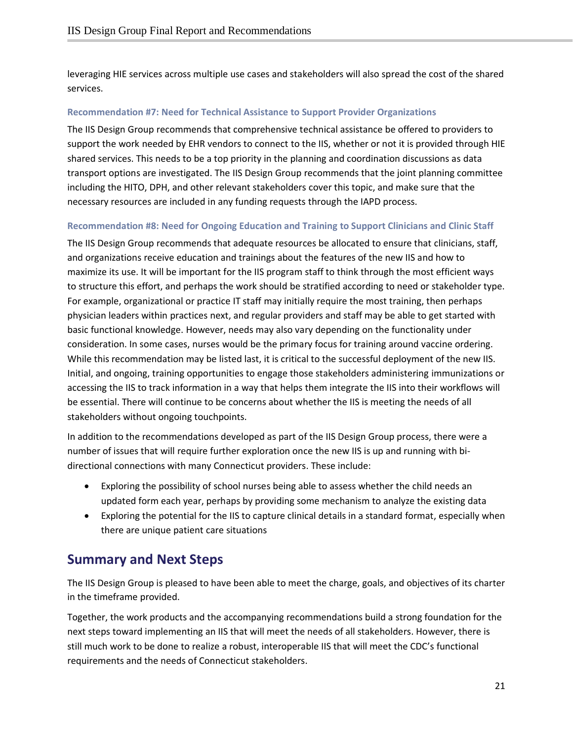leveraging HIE services across multiple use cases and stakeholders will also spread the cost of the shared services.

#### <span id="page-21-0"></span>**Recommendation #7: Need for Technical Assistance to Support Provider Organizations**

The IIS Design Group recommends that comprehensive technical assistance be offered to providers to support the work needed by EHR vendors to connect to the IIS, whether or not it is provided through HIE shared services. This needs to be a top priority in the planning and coordination discussions as data transport options are investigated. The IIS Design Group recommends that the joint planning committee including the HITO, DPH, and other relevant stakeholders cover this topic, and make sure that the necessary resources are included in any funding requests through the IAPD process.

#### <span id="page-21-1"></span>**Recommendation #8: Need for Ongoing Education and Training to Support Clinicians and Clinic Staff**

The IIS Design Group recommends that adequate resources be allocated to ensure that clinicians, staff, and organizations receive education and trainings about the features of the new IIS and how to maximize its use. It will be important for the IIS program staff to think through the most efficient ways to structure this effort, and perhaps the work should be stratified according to need or stakeholder type. For example, organizational or practice IT staff may initially require the most training, then perhaps physician leaders within practices next, and regular providers and staff may be able to get started with basic functional knowledge. However, needs may also vary depending on the functionality under consideration. In some cases, nurses would be the primary focus for training around vaccine ordering. While this recommendation may be listed last, it is critical to the successful deployment of the new IIS. Initial, and ongoing, training opportunities to engage those stakeholders administering immunizations or accessing the IIS to track information in a way that helps them integrate the IIS into their workflows will be essential. There will continue to be concerns about whether the IIS is meeting the needs of all stakeholders without ongoing touchpoints.

In addition to the recommendations developed as part of the IIS Design Group process, there were a number of issues that will require further exploration once the new IIS is up and running with bidirectional connections with many Connecticut providers. These include:

- Exploring the possibility of school nurses being able to assess whether the child needs an updated form each year, perhaps by providing some mechanism to analyze the existing data
- Exploring the potential for the IIS to capture clinical details in a standard format, especially when there are unique patient care situations

### <span id="page-21-2"></span>**Summary and Next Steps**

The IIS Design Group is pleased to have been able to meet the charge, goals, and objectives of its charter in the timeframe provided.

Together, the work products and the accompanying recommendations build a strong foundation for the next steps toward implementing an IIS that will meet the needs of all stakeholders. However, there is still much work to be done to realize a robust, interoperable IIS that will meet the CDC's functional requirements and the needs of Connecticut stakeholders.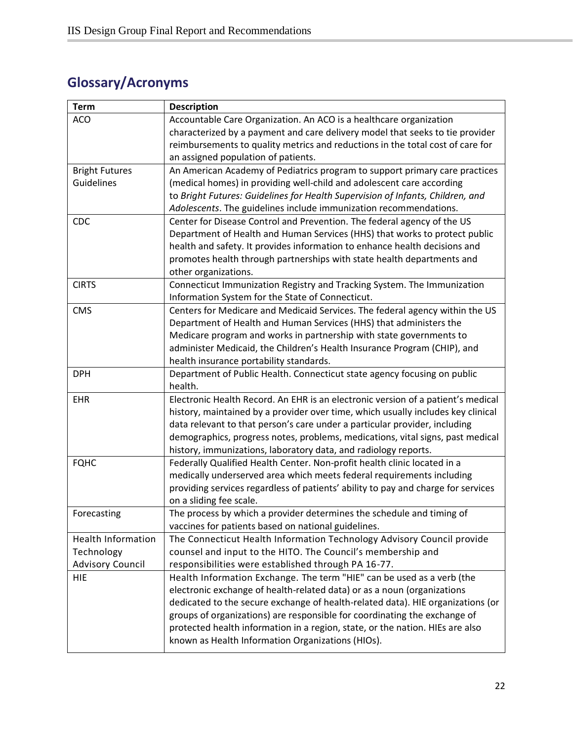# <span id="page-22-0"></span>**Glossary/Acronyms**

| <b>Term</b>               | <b>Description</b>                                                                |
|---------------------------|-----------------------------------------------------------------------------------|
| <b>ACO</b>                | Accountable Care Organization. An ACO is a healthcare organization                |
|                           | characterized by a payment and care delivery model that seeks to tie provider     |
|                           | reimbursements to quality metrics and reductions in the total cost of care for    |
|                           | an assigned population of patients.                                               |
| <b>Bright Futures</b>     | An American Academy of Pediatrics program to support primary care practices       |
| Guidelines                | (medical homes) in providing well-child and adolescent care according             |
|                           | to Bright Futures: Guidelines for Health Supervision of Infants, Children, and    |
|                           | Adolescents. The guidelines include immunization recommendations.                 |
| <b>CDC</b>                | Center for Disease Control and Prevention. The federal agency of the US           |
|                           | Department of Health and Human Services (HHS) that works to protect public        |
|                           | health and safety. It provides information to enhance health decisions and        |
|                           | promotes health through partnerships with state health departments and            |
|                           | other organizations.                                                              |
| <b>CIRTS</b>              | Connecticut Immunization Registry and Tracking System. The Immunization           |
|                           | Information System for the State of Connecticut.                                  |
| <b>CMS</b>                | Centers for Medicare and Medicaid Services. The federal agency within the US      |
|                           | Department of Health and Human Services (HHS) that administers the                |
|                           | Medicare program and works in partnership with state governments to               |
|                           | administer Medicaid, the Children's Health Insurance Program (CHIP), and          |
|                           | health insurance portability standards.                                           |
| <b>DPH</b>                | Department of Public Health. Connecticut state agency focusing on public          |
|                           | health.                                                                           |
| <b>EHR</b>                | Electronic Health Record. An EHR is an electronic version of a patient's medical  |
|                           | history, maintained by a provider over time, which usually includes key clinical  |
|                           | data relevant to that person's care under a particular provider, including        |
|                           | demographics, progress notes, problems, medications, vital signs, past medical    |
|                           | history, immunizations, laboratory data, and radiology reports.                   |
| <b>FQHC</b>               | Federally Qualified Health Center. Non-profit health clinic located in a          |
|                           | medically underserved area which meets federal requirements including             |
|                           | providing services regardless of patients' ability to pay and charge for services |
|                           | on a sliding fee scale.                                                           |
| Forecasting               | The process by which a provider determines the schedule and timing of             |
|                           | vaccines for patients based on national guidelines.                               |
| <b>Health Information</b> | The Connecticut Health Information Technology Advisory Council provide            |
| Technology                | counsel and input to the HITO. The Council's membership and                       |
| <b>Advisory Council</b>   | responsibilities were established through PA 16-77.                               |
| <b>HIE</b>                | Health Information Exchange. The term "HIE" can be used as a verb (the            |
|                           | electronic exchange of health-related data) or as a noun (organizations           |
|                           | dedicated to the secure exchange of health-related data). HIE organizations (or   |
|                           | groups of organizations) are responsible for coordinating the exchange of         |
|                           | protected health information in a region, state, or the nation. HIEs are also     |
|                           | known as Health Information Organizations (HIOs).                                 |